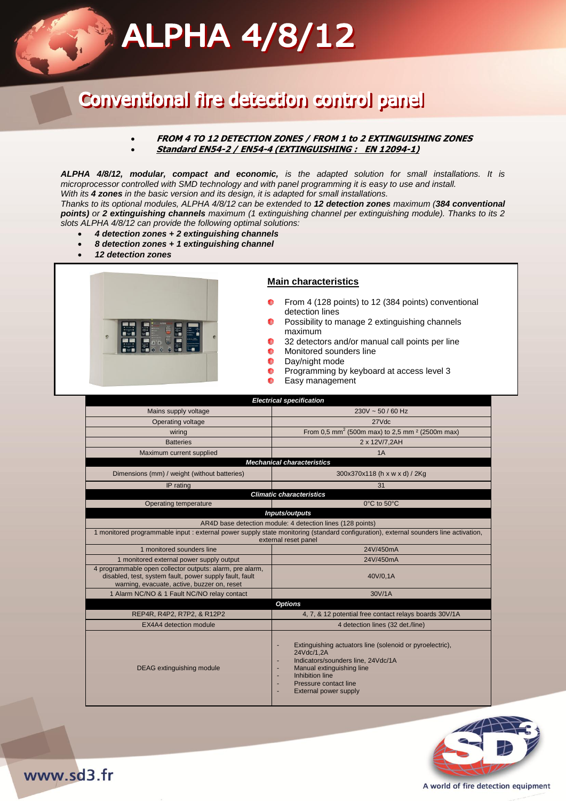## **ALPHA 4/8/12**

## Conventional fire detection control panel

#### **FROM 4 TO 12 DETECTION ZONES / FROM 1 to 2 EXTINGUISHING ZONES Standard EN54-2 / EN54-4 (EXTINGUISHING : EN 12094-1)**

*ALPHA 4/8/12, modular, compact and economic, is the adapted solution for small installations. It is microprocessor controlled with SMD technology and with panel programming it is easy to use and install. With its 4 zones in the basic version and its design, it is adapted for small installations.* 

*Thanks to its optional modules, ALPHA 4/8/12 can be extended to 12 detection zones maximum (384 conventional points) or 2 extinguishing channels maximum (1 extinguishing channel per extinguishing module). Thanks to its 2 slots ALPHA 4/8/12 can provide the following optimal solutions:*

- *4 detection zones + 2 extinguishing channels*
- *8 detection zones + 1 extinguishing channel*
- *12 detection zones*



#### **Main characteristics**

- From 4 (128 points) to 12 (384 points) conventional detection lines
- Possibility to manage 2 extinguishing channels  $\bullet$ maximum
- 32 detectors and/or manual call points per line
- $\bullet$ Monitored sounders line
- $\bullet$ Day/night mode
- $\bullet$ Programming by keyboard at access level 3
- $\bullet$ Easy management

| <b>Electrical specification</b>                                                                                                                                    |                                                                                                                                                                                                                     |
|--------------------------------------------------------------------------------------------------------------------------------------------------------------------|---------------------------------------------------------------------------------------------------------------------------------------------------------------------------------------------------------------------|
| Mains supply voltage                                                                                                                                               | $230V \sim 50 / 60$ Hz                                                                                                                                                                                              |
| Operating voltage                                                                                                                                                  | 27Vdc                                                                                                                                                                                                               |
| wiring                                                                                                                                                             | From 0,5 mm <sup>2</sup> (500m max) to 2,5 mm <sup>2</sup> (2500m max)                                                                                                                                              |
| <b>Batteries</b>                                                                                                                                                   | 2 x 12V/7,2AH                                                                                                                                                                                                       |
| Maximum current supplied                                                                                                                                           | 1A                                                                                                                                                                                                                  |
| <b>Mechanical characteristics</b>                                                                                                                                  |                                                                                                                                                                                                                     |
| Dimensions (mm) / weight (without batteries)                                                                                                                       | 300x370x118 (h x w x d) / 2Kg                                                                                                                                                                                       |
| IP rating                                                                                                                                                          | 31                                                                                                                                                                                                                  |
| <b>Climatic characteristics</b>                                                                                                                                    |                                                                                                                                                                                                                     |
| Operating temperature                                                                                                                                              | 0°C to 50°C                                                                                                                                                                                                         |
| Inputs/outputs                                                                                                                                                     |                                                                                                                                                                                                                     |
| AR4D base detection module: 4 detection lines (128 points)                                                                                                         |                                                                                                                                                                                                                     |
| 1 monitored programmable input : external power supply state monitoring (standard configuration), external sounders line activation,<br>external reset panel       |                                                                                                                                                                                                                     |
| 1 monitored sounders line                                                                                                                                          | 24V/450mA                                                                                                                                                                                                           |
| 1 monitored external power supply output                                                                                                                           | 24V/450mA                                                                                                                                                                                                           |
| 4 programmable open collector outputs: alarm, pre alarm,<br>disabled, test, system fault, power supply fault, fault<br>warning, evacuate, active, buzzer on, reset | 40V/0.1A                                                                                                                                                                                                            |
| 1 Alarm NC/NO & 1 Fault NC/NO relay contact                                                                                                                        | 30V/1A                                                                                                                                                                                                              |
| <b>Options</b>                                                                                                                                                     |                                                                                                                                                                                                                     |
| REP4R, R4P2, R7P2, & R12P2                                                                                                                                         | 4, 7, & 12 potential free contact relays boards 30V/1A                                                                                                                                                              |
| EX4A4 detection module                                                                                                                                             | 4 detection lines (32 det./line)                                                                                                                                                                                    |
| <b>DEAG</b> extinguishing module                                                                                                                                   | Extinguishing actuators line (solenoid or pyroelectric),<br>24Vdc/1.2A<br>Indicators/sounders line, 24Vdc/1A<br>Manual extinguishing line<br>Inhibition line<br>Pressure contact line<br>٠<br>External power supply |



www.sd3.fr

#### A world of fire detection equipment